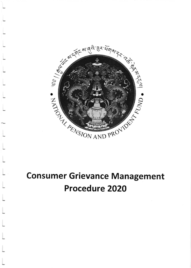

# **Consumer Grievance Management Procedure 2020**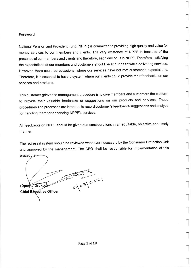### Foreword

National Pension and Provident Fund (NPPF) is committed to providing high quality and value for money services to our members and clients. The very existence of NPPF is because of the presence of our members and clients and therefore, each one of us in NPPF. Therefore, satisfying the expectations of our members and customers should be at our heart while delivering services. However, there could be occasions, where our services have not met customer's expectations Therefore, it is essential to have a system where our clients could provide their feedbacks on our services and products.

This customer grievance management procedure is to give members and customers the platform to provide their valuable feedbacks or suggestions on our products and services. These procedures and processes are intended to record customer's feedbacks/suggestions and analyze for handling them for enhancing NPPF's services.

All feedbacks on NPPF should be given due considerations in an equitable, objective and timely manner

The redressal system should be reviewed whenever necessary by the Consumer Protection Unit and approved by the management. The cEo shall be responsible for implementation of this procedure.

 $\mathcal{L}$  $202$  $\Omega$  Dyne of  $\Omega$  Drukpal  $\Omega$ **Chief Executive Officer**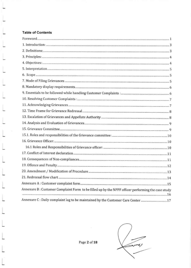## Table of Contents

| Annexure B: Customer Complaint Form to be filled up by the NPPF officer performing the case study |
|---------------------------------------------------------------------------------------------------|
| Annexure C: Daily complaint log to be maintained by the Customer Care Center 17                   |

Page 2 of 18

 $\bar{\sigma}$ 

 $\n 5'$